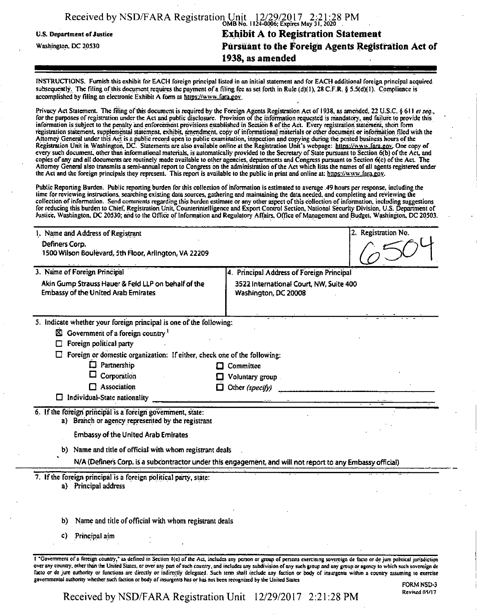|                            | Received by NSD/FARA Registration Unit 12/29/2017 2:21:28 PM |
|----------------------------|--------------------------------------------------------------|
| U.S. Department of Justice | <b>Exhibit A to Registration Statement</b>                   |
| Washington, DC 20530       | Pursuant to the Foreign Agents Registration Act of           |
|                            | 1938, as amended                                             |
|                            |                                                              |

INSTRUCTIONS. Furnish this exhibit for EACH foreign principal listed in on initial statement and for EACH additional foreign principal acquired subsequently. The filing of this document requires the payment of a filing fee as set forth in Rule (d)(1), 28 C.F.R. § 5.5(d)(1). Compliance is accomplished by filing an electronic Exhibit A form at https://www.fara.gov.

Privacy Act Statement. The filing of this document is required by the Foreign Agents Registration Act of 1938, as amended, 22 U.S.C. § 611 *et seq.*, for the purposes of registration under the Act and public disclosure. Provision of the information requested is mandatory, and failure to provide this information is subject to the penalty and enforcement provisions established in Section 8 ofthe Act. Every registration statement, short form registration statement, supplemental statement, exhibit, amendment, copy of informational materials or other document or information filed with the Attorney General under this Act is a public record open to public examination, inspection and copying during the posted business hours ofthe Registration Unit in Washington, DC. Statements are also available online at the Registration Unit's webpage: https://www.fara.gov. One copy of every such document, other than informational materials, is automatically provided to the Secretary of State pursuant to Section 6(b) of the Act, and copies ofany and ell documents are routinely made available to other agencies, departments and Congress pursuant to Section 6(c) ofthe Act The Attorney General also transmits a semi-annual report to Congress on the administration of the Act which lists the names of all agents registered under the Act and the foreign principals they represent. This report is available to the public in print and online at: https://www.fara.gov.

Public Reporting Burden. Public reporting burden for this collection of information is estimated to average .49 hours per response, including the lime forreviewing instructions, searching existing data sources, gathering and maintaining the data needed, and completing and reviewing the collection of information. Send comments regarding this burden estimate or any other aspect of this collection of information, including suggestions for reducing this burden to Chief, Registration Unit, Counterintelligence and Export Control Section, National Security Division, U.S. Department of Justice, Washington, DC 20530; and to the Office of Information and Regulatory Affairs, Office of Management and Budget, Washington, DC 20503.

| 1. Name and Address of Registrant                                                                          | 2. Registration No.                                             |
|------------------------------------------------------------------------------------------------------------|-----------------------------------------------------------------|
| Definers Corp.                                                                                             |                                                                 |
| 1500 Wilson Boulevard, 5th Floor, Arlington, VA 22209                                                      |                                                                 |
| 3. Name of Foreign Principal                                                                               | 4. Principal Address of Foreign Principal                       |
| Akin Gump Strauss Hauer & Feld LLP on behalf of the<br><b>Embassy of the United Arab Emirates</b>          | 3522 International Court, NW, Suite 400<br>Washington, DC 20008 |
| 5. Indicate whether your foreign principal is one of the following:                                        |                                                                 |
| $\boxtimes$ Government of a foreign country $^1$                                                           |                                                                 |
| Foreign political party                                                                                    |                                                                 |
| Foreign or domestic organization: If either, check one of the following:                                   |                                                                 |
| $\Box$ Partnership<br>п                                                                                    | Committee                                                       |
| Corporation                                                                                                | Voluntary group                                                 |
| Association<br>l 1                                                                                         | Other (specify)                                                 |
| Individual-State nationality                                                                               |                                                                 |
| 6. If the foreign principal is a foreign government, state:                                                |                                                                 |
| a) Branch or agency represented by the registrant                                                          |                                                                 |
| <b>Embassy of the United Arab Emirates</b>                                                                 |                                                                 |
| b) Name and title of official with whom registrant deals                                                   |                                                                 |
| N/A (Definers Corp. is a subcontractor under this engagement, and will not report to any Embassy official) |                                                                 |
| 7. If the foreign principal is a foreign political party, state:                                           |                                                                 |
| a) Principal address                                                                                       |                                                                 |
|                                                                                                            |                                                                 |
|                                                                                                            |                                                                 |
| Name and title of official with whom registrant deals<br>b)                                                |                                                                 |
| Principal aim<br>C)                                                                                        |                                                                 |
|                                                                                                            |                                                                 |

I "Government of a foreign country," as defined in Section 1(e) of the Act, includes any person or group of persons exercising sovereign de facto or de jure political jurisdiction over any country, other than the United States, or over any part of such country, and includes any subdivision of any such group and any group or agency to which such sovereign de facto or de jure authority or functions ate directly or indirectly delegated. Such term shell include any faction or body of insurgents within a country assuming to exercise governmental authority whether such faction or body of insurgents has or has not been recognized by the United States

Received by NSD/FARA Registration Unit 12/29/2017 2:21:28 PM Revised 05/17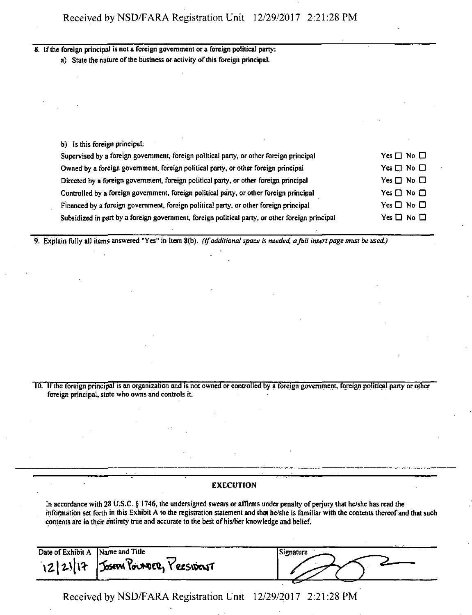# 8. If the foreign principal is not a foreign government or a foreign political party:

a) State the nature of the business or activity of this foreign principal.

| b) Is this foreign principal:                                                                   |                      |
|-------------------------------------------------------------------------------------------------|----------------------|
| Supervised by a foreign government, foreign political party, or other foreign principal         | Yes $\Box$ No $\Box$ |
| Owned by a foreign government, foreign political party, or other foreign principal              | Yes $\Box$ No $\Box$ |
| Directed by a foreign government, foreign political party, or other foreign principal           | $Yes \Box No \Box$   |
| Controlled by a foreign government, foreign political party, or other foreign principal         | $Yes \Box No \Box$   |
| Financed by a foreign government, foreign political party, or other foreign principal           | Yes $\Box$ No $\Box$ |
| Subsidized in part by a foreign government, foreign political party, or other foreign principal | $Yes \Box No \Box$   |

9. Explain fully all items answered "Yes" in Item 8(b). *(Ifadditional space is needed, afull insert page must be used)*

10. Ifthe foreign principal is an organization and is not owned or controlled by a foreign government, foreign political party or other foreign principal, state who owns and controls it.

## EXECUTION

In accordance with 28 U.S.C. § 1746, the undersigned swears or affirms under penalty of perjury that he/she has read the information set forth in this Exhibit A to the registration statement and that he/she is familiar with the contents thereofand that such contents are in their entirety true and accurate to the best ofhis/her knowledge and belief.

| Date of Exhibit A | Name and Title                       | Signature |
|-------------------|--------------------------------------|-----------|
|                   | 12/21/17   JOSEPA POUNDER, YEESIDENT |           |

Received by NSD/FARA Registration Unit 12/29/2017 2:21:28 PM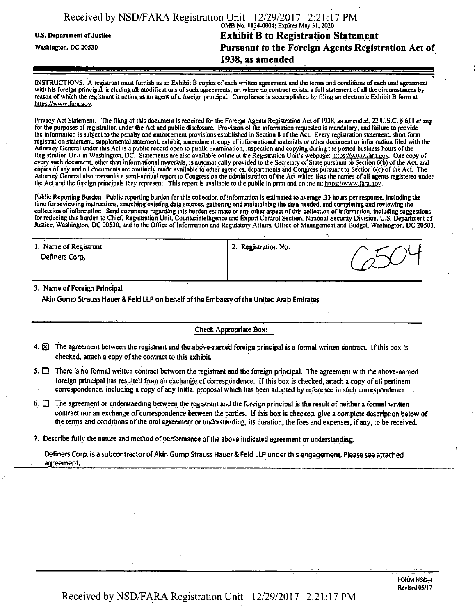|                            | Received by NSD/FARA Registration Unit 12/29/2017 2:21:17 PM |
|----------------------------|--------------------------------------------------------------|
|                            | OMB No. 1124-0004; Expires May 31, 2020                      |
| U.S. Department of Justice | <b>Exhibit B to Registration Statement</b>                   |
| Washington, DC 20530       | <b>Pursuant to the Foreign Agents Registration Act of</b>    |
|                            | 1938, as amended                                             |
|                            |                                                              |

INSTRUCTIONS. A registrant must furnish as on Exhibit B copies ofeach written agreement and the terms and conditions of each oral agreement with his foreign principal, including all modifications of such agreements, or, where no contract exists, a full statement of all the circumstances by reason of which the registrant is acting as an agent of a foreign principal. Compliance is accomplished by filing an electronic Exhibit B form at https://www.fam.gov.

Privacy Act Statement. The filing of this document is required for the Foreign Agents Registration Act of 1938, as amended, 22 U.S.C. § 611 *et seq.*. for the purposes of registration under the Act and public disclosure. Provision of the information requested is mandatory, and failure to provide the information Is subject to the penalty and enforcement provisions established in Section 8 ofthe Act. Every registration statement, short form registration statement, supplemental statement, exhibit, amendment, copy ofinformational materials or other document or information filed with the Attorney General underthis Act is a public record open to public examination, inspection and copying during the posted business hours ofthe Registration Unit in Washington, DC. Statements are also available online at the Registration Unit's webpage: https://www.fara.gov. One copy of every such document, other than informational materials, is automatically provided to the Secretary of State pursuant to Section 6(b) of the Act, and copies of any and all documents are routinely made available to other agencies, departments and Congress pursuant to Section 6(c) ofthe Act. The Attorney General also transmits a semi-annual report to Congress on the administration of the Act which lists the names of all agents registered under the Act and the foreign principals they represent. This report is available to the public in print and online at: https://www.fara.gov.

Public Reporting Burden. Public reporting burden for this collection of information is estimated to average..33 hours per response, including the time for reviewing instructions, searching existing data sources, gathering and maintaining the data needed, and completing and reviewing the collection of information. Send comments regarding this burden estimate or any other aspect of this collection of information, including suggestions forreducing this burden to.Chief, Registration Unit, Counterintelligence and Export Control Section, National Security Division, U.S. Department of Justice, Washington, DC 20530; and to the Office of Information and Regulatory Affairs, Office of Management and Budget, Washington, DC 20503.

| 1. Name of Registrant<br>Definers Corp. | 2. Registration No. |  |
|-----------------------------------------|---------------------|--|
|                                         |                     |  |

3. Name of Foreign Principal

Akin Gump Strauss Hauer & Feld LLP on behalf of the Embassy of the United Arab Emirates

Check Appropriate Box:

- 4. SI The agreement between the registrant and the above-named foreign principal is a formal written contract. Ifthis box is checked, attach a copy of the contract to this exhibit.
- 5.  $\square$  There is no formal written contract between the registrant and the foreign principal. The agreement with the above-named foreign principal has resulted from an exchange of correspondence. If this box is checked, attach a copy of all pertinent correspondence, including a copy of any initial proposal which has been adopted by reference in such correspondence.
- 6.  $\Box$  The agreement or understanding between the registrant and the foreign principal is the result of neither a formal written contract nor an exchange of correspondence between the parties. If this box is checked, give a complete description below of the terms and conditions of the oral agreement or understanding, its duration, the fees and expenses, if any, to be received.
- 7. Describe fully the nature and method of performance of the above indicated agreement or understanding.

Definers Corp. is a subcontractor of Akin Gump Strauss Hauer & Feld LLP under this engagement. Please see attached agreement.

Received by NSD/FARA Registration Unit 12/29/2017 2:21:17 PM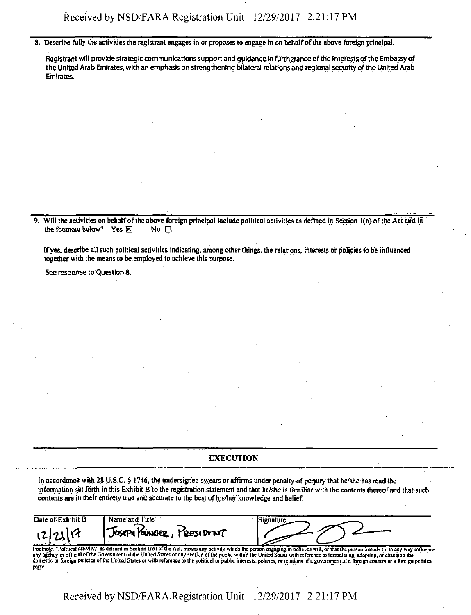Received by NSD/FARA Registration Unit 12/29/2017 2:21:17 PM

8. Describe fully the activities the registrant engages in or proposes to engage in on behalf of the above foreign principal.

Registrant will provide strategic communications support and guidance in furtherance ofthe interests ofthe Embassy of the United Arab Emirates, with an emphasis on strengthening bilateral relations and regional security ofthe United Arab Emirates.

9. Will the activities on behalf of the above foreign principal include political activities as defined in Section 1(o) of the Act and in the footnote below? Yes  $\boxtimes$  No  $\square$ 

Ifyes, describe all such political activities indicating, among other things, the relations, interests or policies to be influenced together with the means to be employed to achieve this purpose.

See response to Question 8.

party.

#### **EXECUTION**

In accordance with 28 U.S.C. § 1746, the undersigned swears or affirms under penalty of perjury that he/she has read the information set forth in this Exhibit B to the registration statement and that he/she is familiar with the contents thereof and that such contents are in their entirety true and accurate to the best of his/her knowledge and belief.

| Date of Exhibit B<br>12/21/17 | Name and Title<br>JOSEPH POUNDER, PRESIDENT | Signature                                                                                                                                                                                    |  |
|-------------------------------|---------------------------------------------|----------------------------------------------------------------------------------------------------------------------------------------------------------------------------------------------|--|
|                               |                                             | Footnote: "Political activity," as defined in Section 1(o) of the Act, means any activity which the person engaging in believes will, or that the person intends to, in any way influence    |  |
|                               |                                             | any agency or official of the Government of the United States or any section of the public within the United States with reference to formulating, adopting, or changing the                 |  |
|                               |                                             | domestic or foreign policies of the United States or with reference to the political or public interests, policies, or relations of a government of a foreign country or a foreign political |  |

Received by NSD/FARA Registration Unit 12/29/2017 2:21:17 PM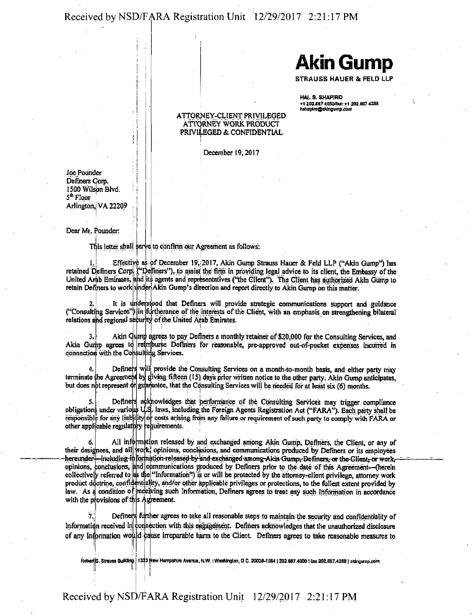Received by NSD/FARA Registration Unit 12/29/2017 2:21:17 PM

**Akin Gump**

STRAUSS HAUER & FELD LLP

HALS. SHAPIRO +1 202.887.4053/lax: +1 202.887.<br>hshapiro@akingump.com

#### ATTORNEY-CLIENT PRIVILEGED ATTORNEY WORK PRODUCT PRIVILEGED & CONFIDENTIAL

December 19,2017

**Joe Pounder** Definers Corp. 1500 Wilson Blvd. ! 5<sup>th</sup> Floor Arlington,! VA 22209

Dear Mr. Pounder:

This letter shall serve to confirm our Agreement as follows:

1. Effective as of December 19, 2017, Akin Gump Strauss Hauer & Feld LLP ("Akin Gump") has retained Definers Corp. ("Definers"), to assist the firm in providing legal advice to its client, the Embassy of the United Arab Emirates, and its agents and representatives ("the Client"). The Client has authorized Akin Gump to retain Definers to work under Akin Gump's direction and report directly to Akin Gump on this matter.

2. It is understood that Definers will provide strategic communications support and guidance ("Consulting Services") in furtherance of the interests of the Client, with an emphasis on strengthening bilateral relations and regional security of the United Arab Emirates.

Akin Gump agrees to pay Definers a monthly retainer of \$20,000 for the Consulting Services, and Akin Gurip agrees to; reimburse Definers for reasonable, pre-approved out-of-pocket expenses incurred m connection with the Consulting Services.

Define $\mathbf r$ 4.<br>e the Agreemt terminate but does not represent It provide the Consulting Services on a month-to-month basis, and either party may iving fifteen (15) days prior written notice to the other party. Akin Gump anticipates,<br>antee, that the Consulting Services will be needed for at least six (6) months

5. Definers acknowledges that berformance of the Consulting Services may trigger compliance obligations under various U.S. laws, including the Foreign Agents Registration Act ("FARA"), Each party shall be responsible for any liability of costs arising from any failure or requirement of such party to comply with FARA or other appl cable regulatory requirements.

*6,* their designees, and all work, opinions, conclusions, and communications produced by Definers or its employees -hereunder<del>" -</del>i opinions opinous, conclusions, the communications produced by Demicrs prior to the date of this Agreement—therein<br>collectively referred to as the "Information") is or will be protected by the attorney-client privilege, attorney wor product doctrine, confidentiality, and/or other applicable privileges or protections, to the fullest extent provided by law. As a condition of receiving such Information, Definers agrees to treat any such Information in accordance with the provisions of this Agreement. All information released by and exchanged among Akin Gump, Definers, the Client, or any of iricluding i conclusions, structure and the changed among-Akin Gumpr Definers, or the Client, or work, communications produced by Definers prior to the date of this Agreement—(herein

Information received in connection with this engagement. Definers acknowledges that the unauthorized disclosure of any Information would cause irreparable harm to the Client. Definers agrees to take reasonable measures to Definers further agrees to take all reasonable steps to maintain the security and confidentiality of

Robert S. Strawss I<br>... 1333 New Hampshire Avanus, N.W. | Washington, O C. 20038-1564 | 202 BB7.4000 | fax 202 887.428B | Bklngump.com

# Received by NSD/FARA Registration Unit 12/29/2017 2:21:17 PM

I